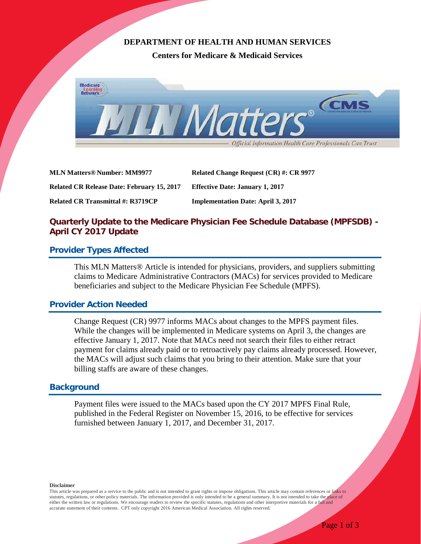# **DEPARTMENT OF HEALTH AND HUMAN SERVICES**

**Centers for Medicare & Medicaid Services**



| <b>MLN Matters® Number: MM9977</b>                | Related Change Request (CR) #: CR 9977    |
|---------------------------------------------------|-------------------------------------------|
| <b>Related CR Release Date: February 15, 2017</b> | <b>Effective Date: January 1, 2017</b>    |
| Related CR Transmittal #: R3719CP                 | <b>Implementation Date: April 3, 2017</b> |

# **Quarterly Update to the Medicare Physician Fee Schedule Database (MPFSDB) - April CY 2017 Update**

### **Provider Types Affected**

This MLN Matters® Article is intended for physicians, providers, and suppliers submitting claims to Medicare Administrative Contractors (MACs) for services provided to Medicare beneficiaries and subject to the Medicare Physician Fee Schedule (MPFS).

### **Provider Action Needed**

Change Request (CR) 9977 informs MACs about changes to the MPFS payment files. While the changes will be implemented in Medicare systems on April 3, the changes are effective January 1, 2017. Note that MACs need not search their files to either retract payment for claims already paid or to retroactively pay claims already processed. However, the MACs will adjust such claims that you bring to their attention. Make sure that your billing staffs are aware of these changes.

# **Background**

Payment files were issued to the MACs based upon the CY 2017 MPFS Final Rule, published in the Federal Register on November 15, 2016, to be effective for services furnished between January 1, 2017, and December 31, 2017.

**Disclaimer**

This article was prepared as a service to the public and is not intended to grant rights or impose obligations. This article may contain references or links to statutes, regulations, or other policy materials. The information provided is only intended to be a general summary. It is not intended to take the place of either the written law or regulations. We encourage readers to review the specific statutes, regulations and other interpretive materials for a full and accurate statement of their contents. CPT only copyright 2016 American Medical Association. All rights reserved.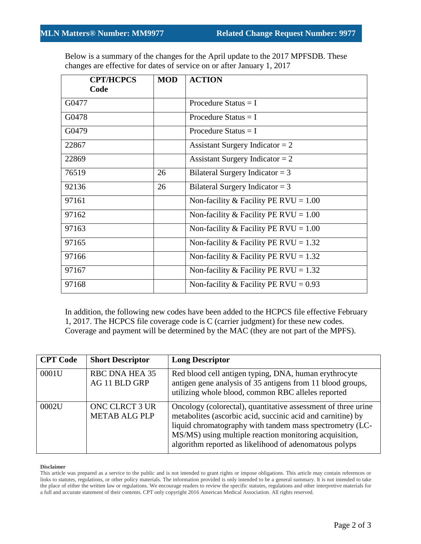Below is a summary of the changes for the April update to the 2017 MPFSDB. These changes are effective for dates of service on or after January 1, 2017

| <b>CPT/HCPCS</b><br>Code | <b>MOD</b> | <b>ACTION</b>                           |
|--------------------------|------------|-----------------------------------------|
| G0477                    |            | Procedure Status $=$ I                  |
| G0478                    |            | Procedure Status $=$ I                  |
| G0479                    |            | Procedure Status $= I$                  |
| 22867                    |            | Assistant Surgery Indicator = $2$       |
| 22869                    |            | Assistant Surgery Indicator = $2$       |
| 76519                    | 26         | Bilateral Surgery Indicator = $3$       |
| 92136                    | 26         | Bilateral Surgery Indicator = $3$       |
| 97161                    |            | Non-facility & Facility PE RVU = $1.00$ |
| 97162                    |            | Non-facility & Facility PE RVU = $1.00$ |
| 97163                    |            | Non-facility & Facility PE RVU = $1.00$ |
| 97165                    |            | Non-facility & Facility PE RVU = $1.32$ |
| 97166                    |            | Non-facility & Facility PE RVU = $1.32$ |
| 97167                    |            | Non-facility & Facility PE RVU = $1.32$ |
| 97168                    |            | Non-facility & Facility PE RVU = $0.93$ |

In addition, the following new codes have been added to the HCPCS file effective February 1, 2017. The HCPCS file coverage code is C (carrier judgment) for these new codes. Coverage and payment will be determined by the MAC (they are not part of the MPFS).

| <b>CPT Code</b> | <b>Short Descriptor</b>                       | <b>Long Descriptor</b>                                                                                                                                                                                                                                                                                       |
|-----------------|-----------------------------------------------|--------------------------------------------------------------------------------------------------------------------------------------------------------------------------------------------------------------------------------------------------------------------------------------------------------------|
| 0001U           | <b>RBC DNA HEA 35</b><br>AG 11 BLD GRP        | Red blood cell antigen typing, DNA, human erythrocyte<br>antigen gene analysis of 35 antigens from 11 blood groups,<br>utilizing whole blood, common RBC alleles reported                                                                                                                                    |
| 0002U           | <b>ONC CLRCT 3 UR</b><br><b>METAB ALG PLP</b> | Oncology (colorectal), quantitative assessment of three urine<br>metabolites (ascorbic acid, succinic acid and carnitine) by<br>liquid chromatography with tandem mass spectrometry (LC-<br>MS/MS) using multiple reaction monitoring acquisition,<br>algorithm reported as likelihood of adenomatous polyps |

#### **Disclaimer**

This article was prepared as a service to the public and is not intended to grant rights or impose obligations. This article may contain references or links to statutes, regulations, or other policy materials. The information provided is only intended to be a general summary. It is not intended to take the place of either the written law or regulations. We encourage readers to review the specific statutes, regulations and other interpretive materials for a full and accurate statement of their contents. CPT only copyright 2016 American Medical Association. All rights reserved.